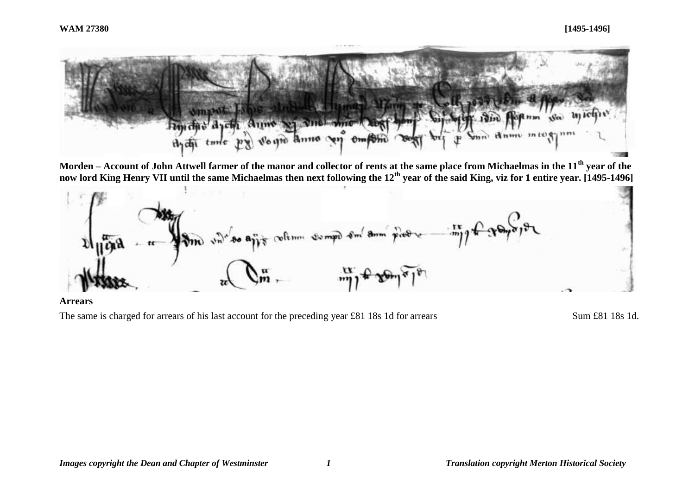

**Morden – Account of John Attwell farmer of the manor and collector of rents at the same place from Michaelmas in the 11th year of the now lord King Henry VII until the same Michaelmas then next following the 12th year of the said King, viz for 1 entire year. [1495-1496]**



**Arrears**

The same is charged for arrears of his last account for the preceding year £81 18s 1d for arrears Sum £81 18s 1d.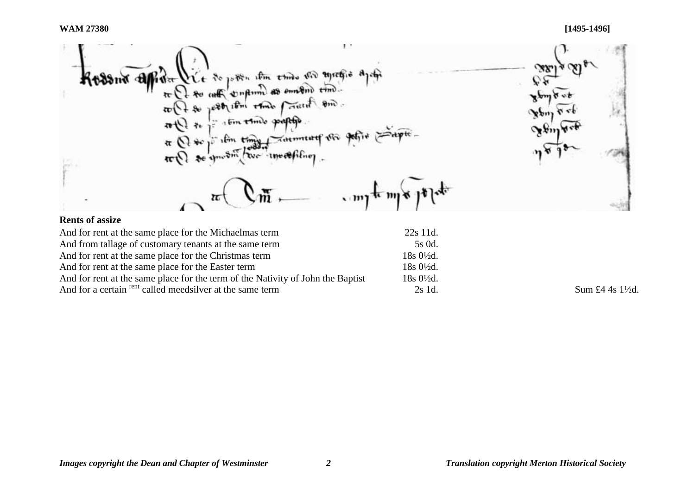УX Vice de posson um esmo vid syresio aprin<br>De so coste compum as emasino time.<br>De jost usin esmo provide sure. Kessur Albert でき  $\frac{\pi}{2}$ Fin time paptle  $# 1/4m$ Hptc. Tatmituref in  $\pi$   $\Omega$   $\ast$ ifin time  $10^{-1}$ se amount two investiting  $\pi(1)$ WWW.16  $\sim$  my from  $\mathbf{F}$ 

# **Rents of assize**

| And for rent at the same place for the Michaelmas term                          | $22s$ 11d.           |
|---------------------------------------------------------------------------------|----------------------|
| And from tallage of customary tenants at the same term                          | 5s 0d.               |
| And for rent at the same place for the Christmas term                           | $18s0\frac{1}{2}d$ . |
| And for rent at the same place for the Easter term                              | $18s0\frac{1}{2}d$ . |
| And for rent at the same place for the term of the Nativity of John the Baptist | $18s0\frac{1}{2}d$ . |
| And for a certain <sup>rent</sup> called meedsilver at the same term            | 2s 1d.               |

Sum  $£4$  4s 1½d.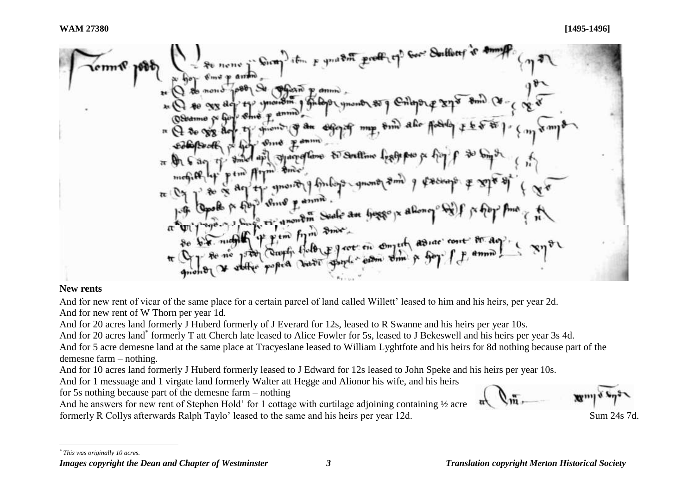From the **loop** to 
$$
\frac{1}{x}
$$
,  $\frac{1}{y}$  to  $\frac{1}{y}$  to  $\frac{1}{y}$  to  $\frac{1}{y}$  to  $\frac{1}{y}$  to  $\frac{1}{y}$  to  $\frac{1}{y}$  to  $\frac{1}{y}$  to  $\frac{1}{y}$  to  $\frac{1}{y}$  to  $\frac{1}{y}$  to  $\frac{1}{y}$  to  $\frac{1}{y}$  to  $\frac{1}{y}$  to  $\frac{1}{y}$  to  $\frac{1}{y}$  to  $\frac{1}{y}$  to  $\frac{1}{y}$  to  $\frac{1}{y}$  to  $\frac{1}{y}$  to  $\frac{1}{y}$  to  $\frac{1}{y}$  to  $\frac{1}{y}$  to  $\frac{1}{y}$  to  $\frac{1}{y}$  to  $\frac{1}{y}$  to  $\frac{1}{y}$  to  $\frac{1}{y}$  to  $\frac{1}{y}$  to  $\frac{1}{y}$  to  $\frac{1}{y}$  to  $\frac{1}{y}$  to  $\frac{1}{y}$  to  $\frac{1}{y}$  to  $\frac{1}{y}$  to  $\frac{1}{y}$  to  $\frac{1}{y}$  to  $\frac{1}{y}$  to  $\frac{1}{y}$  to  $\frac{1}{y}$  to  $\frac{1}{y}$  to  $\frac{1}{y}$  to  $\frac{1}{y}$  to  $\frac{1}{y}$  to  $\frac{1}{y}$  to  $\frac{1}{y}$  to  $\frac{1}{y}$  to  $\frac{1}{y}$  to  $\frac{1}{y}$  to  $\frac{1}{y}$  to  $\frac{1}{y}$  to  $\frac{1}{y}$  to  $\frac{1}{y}$  to  $\frac{1}{y}$  to  $\frac{1}{y}$  to  $\frac{1}{y}$  to  $\frac{1}{y}$  to  $\frac{1}{y}$  to  $\frac{1}{y}$  to  $\frac{1}{y}$  to  $\frac{1}{y}$  to  $\frac{1}{y}$ 

## **New rents**

And for new rent of vicar of the same place for a certain parcel of land called Willett' leased to him and his heirs, per year 2d. And for new rent of W Thorn per year 1d.

And for 20 acres land formerly J Huberd formerly of J Everard for 12s, leased to R Swanne and his heirs per year 10s.

And for 20 acres land\* formerly T att Cherch late leased to Alice Fowler for 5s, leased to J Bekeswell and his heirs per year 3s 4d.

And for 5 acre demesne land at the same place at Tracyeslane leased to William Lyghtfote and his heirs for 8d nothing because part of the demesne farm – nothing.

And for 10 acres land formerly J Huberd formerly leased to J Edward for 12s leased to John Speke and his heirs per year 10s.

And for 1 messuage and 1 virgate land formerly Walter att Hegge and Alionor his wife, and his heirs

for 5s nothing because part of the demesne farm – nothing

And he answers for new rent of Stephen Hold' for 1 cottage with curtilage adjoining containing  $\frac{1}{2}$  acre formerly R Collys afterwards Ralph Taylo' leased to the same and his heirs per year 12d.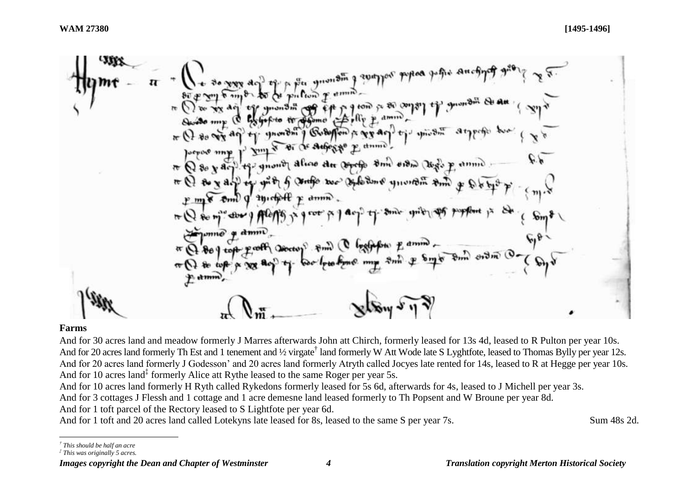#### **Farms**

l

And for 30 acres land and meadow formerly J Marres afterwards John att Chirch, formerly leased for 13s 4d, leased to R Pulton per year 10s. And for 20 acres land formerly Th Est and 1 tenement and 1/2 virgate<sup>†</sup> land formerly W Att Wode late S Lyghtfote, leased to Thomas Bylly per year 12s. And for 20 acres land formerly J Godesson' and 20 acres land formerly Atryth called Jocyes late rented for 14s, leased to R at Hegge per year 10s. And for 10 acres land<sup>‡</sup> formerly Alice att Rythe leased to the same Roger per year 5s.

And for 10 acres land formerly H Ryth called Rykedons formerly leased for 5s 6d, afterwards for 4s, leased to J Michell per year 3s.

And for 3 cottages J Flessh and 1 cottage and 1 acre demesne land leased formerly to Th Popsent and W Broune per year 8d.

And for 1 toft parcel of the Rectory leased to S Lightfote per year 6d.

And for 1 toft and 20 acres land called Lotekyns late leased for 8s, leased to the same S per year 7s. Sum 48s 2d.

*<sup>†</sup> This should be half an acre*

*<sup>‡</sup> This was originally 5 acres.*

*Images copyright the Dean and Chapter of Westminster 4 Translation copyright Merton Historical Society*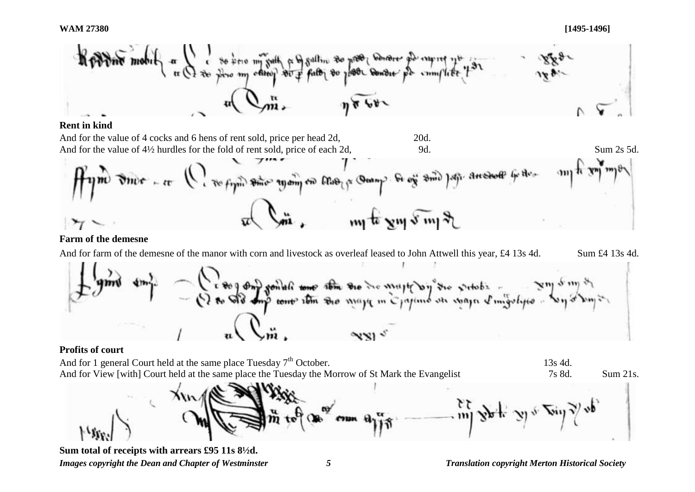**WAM 27380 [1495-1496]**



### **Rent in kind**



## **Farm of the demesne**

And for farm of the demesne of the manor with corn and livestock as overleaf leased to John Attwell this year, £4 13s 4d. Sum £4 13s 4d.



### **Profits of court**

And for 1 general Court held at the same place Tuesday  $7<sup>th</sup>$  October. 13s 4d. And for View [with] Court held at the same place the Tuesday the Morrow of St Mark the Evangelist 7s 8d. Sum 21s.



*Images copyright the Dean and Chapter of Westminster 5 Translation copyright Merton Historical Society* **Sum total of receipts with arrears £95 11s 8½d.**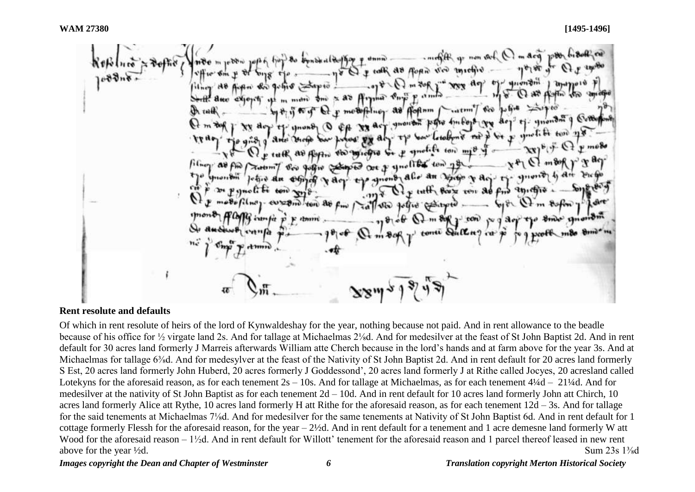I for non you talk as foun ved interior  $^{\text{return}}$ foftnm  $600$ So p sprotife ton Ort of ynollist ton)  $film<sub>2</sub>$ John Com Virgo & Agtutt forte ven 30 folled Control inen fü

#### **Rent resolute and defaults**

Of which in rent resolute of heirs of the lord of Kynwaldeshay for the year, nothing because not paid. And in rent allowance to the beadle because of his office for ½ virgate land 2s. And for tallage at Michaelmas 2⅛d. And for medesilver at the feast of St John Baptist 2d. And in rent default for 30 acres land formerly J Marreis afterwards William atte Cherch because in the lord's hands and at farm above for the year 3s. And at Michaelmas for tallage 6<sup>3</sup>/<sub>8</sub>d. And for medesylver at the feast of the Nativity of St John Baptist 2d. And in rent default for 20 acres land formerly S Est, 20 acres land formerly John Huberd, 20 acres formerly J Goddessond', 20 acres land formerly J at Rithe called Jocyes, 20 acresland called Lotekyns for the aforesaid reason, as for each tenement  $2s - 10s$ . And for tallage at Michaelmas, as for each tenement  $4\frac{1}{4}d - 21\frac{1}{4}d$ . And for medesilver at the nativity of St John Baptist as for each tenement 2d – 10d. And in rent default for 10 acres land formerly John att Chirch, 10 acres land formerly Alice att Rythe, 10 acres land formerly H att Rithe for the aforesaid reason, as for each tenement 12d – 3s. And for tallage for the said tenements at Michaelmas 7⅛d. And for medesilver for the same tenements at Nativity of St John Baptist 6d. And in rent default for 1 cottage formerly Flessh for the aforesaid reason, for the year – 2½d. And in rent default for a tenement and 1 acre demesne land formerly W att Wood for the aforesaid reason – 1<sup>1</sup>/<sub>2</sub>d. And in rent default for Willott' tenement for the aforesaid reason and 1 parcel thereof leased in new rent above for the year <sup>1</sup>/2d. Sum 23s 1<sup>3</sup>/<sub>8</sub>d

*Images copyright the Dean and Chapter of Westminster 6 Translation copyright Merton Historical Society*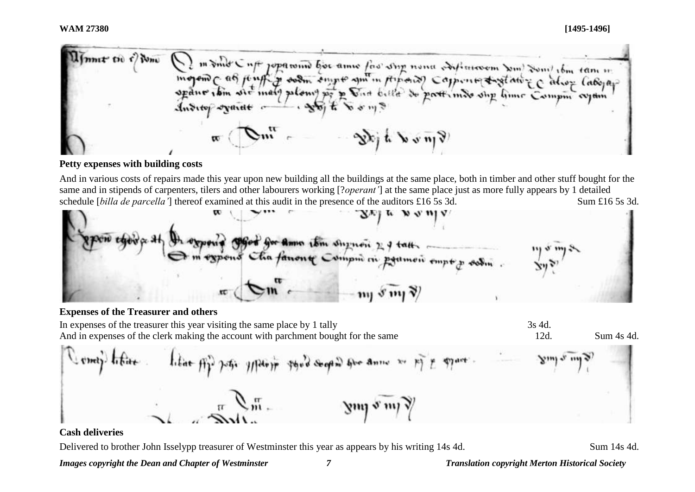ione. mnt tu t m sind C uff jopamin bor ame fas sing nona softmoon son som tom tan in ingend c as just y soon empt am in provide capente tradition can tam in  $\frac{1}{2}$   $\frac{1}{2}$   $\frac{1}{2}$   $\frac{1}{2}$   $\frac{1}{2}$   $\frac{1}{2}$   $\frac{1}{2}$   $\frac{1}{2}$   $\frac{1}{2}$   $\frac{1}{2}$   $\frac{1}{2}$   $\frac{1}{2}$   $\frac{1}{2}$   $\frac{1}{2}$   $\frac{1}{2}$   $\frac{1}{2}$   $\frac{1}{2}$   $\frac{1}{2}$   $\frac{1}{2}$   $\frac{1}{2}$   $\frac{1}{2}$   $\frac{1}{2}$  Skit von?

## **Petty expenses with building costs**

And in various costs of repairs made this year upon new building all the buildings at the same place, both in timber and other stuff bought for the same and in stipends of carpenters, tilers and other labourers working [?*operant'*] at the same place just as more fully appears by 1 detailed schedule [*billa de parcella'*] thereof examined at this audit in the presence of the auditors £16 5s 3d. Sum £16 5s 3d.



### **Expenses of the Treasurer and others**

In expenses of the treasurer this year visiting the same place by 1 tally 3s 4d. And in expenses of the clerk making the account with parchment bought for the same 12d. Sum 4s 4d.





### **Cash deliveries**

Delivered to brother John Isselypp treasurer of Westminster this year as appears by his writing 14s 4d. Sum 14s 4d.

*Images copyright the Dean and Chapter of Westminster 7 Translation copyright Merton Historical Society*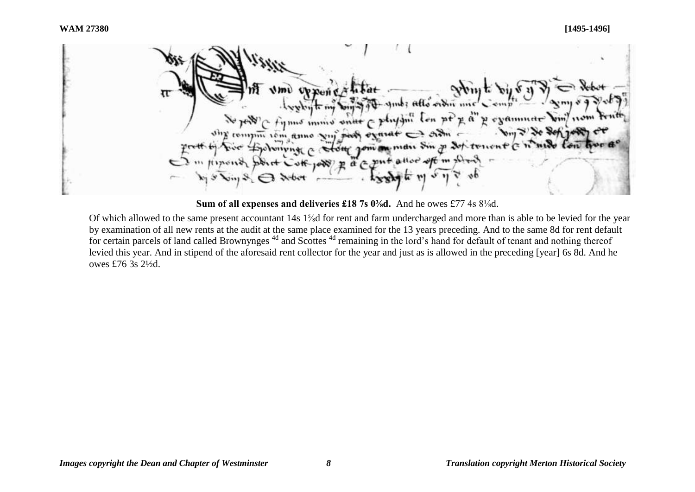mb: Allo ordin E d' y egammete physin r  $\n *min*\n$  $4141.11$  $^{n+1}$  $\rightarrow$  sim iom anno mdu Himend  $p$  d  $\approx$  put

**Sum of all expenses and deliveries £18 7s 0⅜d.** And he owes £77 4s 8⅛d.

Of which allowed to the same present accountant 14s 1⅝d for rent and farm undercharged and more than is able to be levied for the year by examination of all new rents at the audit at the same place examined for the 13 years preceding. And to the same 8d for rent default for certain parcels of land called Brownynges<sup>4d</sup> and Scottes<sup>4d</sup> remaining in the lord's hand for default of tenant and nothing thereof levied this year. And in stipend of the aforesaid rent collector for the year and just as is allowed in the preceding [year] 6s 8d. And he owes £76 3s 2½d.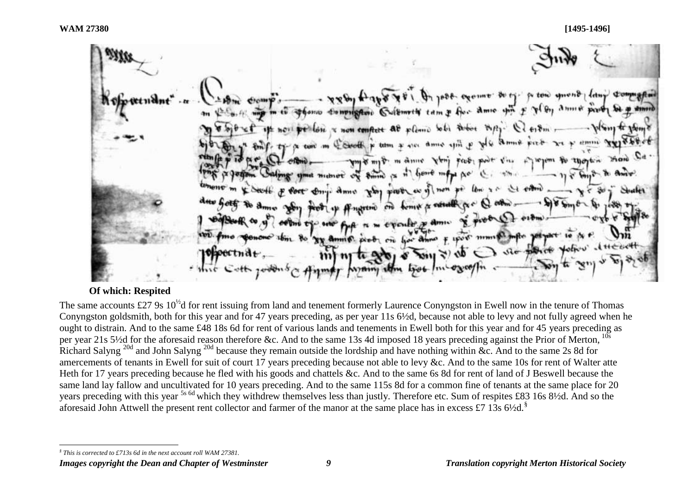1088- exempt Bory. po tow smont So Computer Cultment tam & for amic with E pl by lose x non conflict at plane whi when they-Cool & turn & see ame spit p pl& amne winner or Pr my my m anne Ven fect poor vin  $\sigma_Y = \frac{1}{2}$ heart inful Ac michiet why prove as of non po low in nerth on home a network pre-- evenly y ami  $F$  uport manifest prob on her anno  $\sqrt{10}$ 

### **Of which: Respited**

The same accounts £27 9s  $10^{1/2}$ d for rent issuing from land and tenement formerly Laurence Conyngston in Ewell now in the tenure of Thomas Conyngston goldsmith, both for this year and for 47 years preceding, as per year 11s 6½d, because not able to levy and not fully agreed when he ought to distrain. And to the same £48 18s 6d for rent of various lands and tenements in Ewell both for this year and for 45 years preceding as per year 21s 5½d for the aforesaid reason therefore &c. And to the same 13s 4d imposed 18 years preceding against the Prior of Merton,  $^{10s}$ Richard Salvng<sup>20d</sup> and John Salvng<sup>20d</sup> because they remain outside the lordship and have nothing within &c. And to the same 2s 8d for amercements of tenants in Ewell for suit of court 17 years preceding because not able to levy &c. And to the same 10s for rent of Walter atte Heth for 17 years preceding because he fled with his goods and chattels &c. And to the same 6s 8d for rent of land of J Beswell because the same land lay fallow and uncultivated for 10 years preceding. And to the same 115s 8d for a common fine of tenants at the same place for 20 years preceding with this year 5s 6d which they withdrew themselves less than justly*.* Therefore etc. Sum of respites £83 16s 8½d. And so the aforesaid John Attwell the present rent collector and farmer of the manor at the same place has in excess £7 13s  $6\frac{1}{2}$ d.<sup>§</sup>

l *§ This is corrected to £713s 6d in the next account roll WAM 27381.*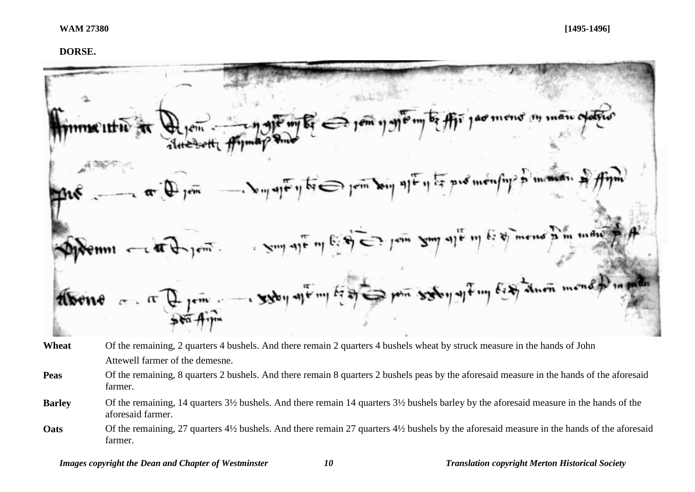#### **DORSE.**



- Wheat Of the remaining, 2 quarters 4 bushels. And there remain 2 quarters 4 bushels wheat by struck measure in the hands of John Attewell farmer of the demesne.
- **Peas** Of the remaining, 8 quarters 2 bushels. And there remain 8 quarters 2 bushels peas by the aforesaid measure in the hands of the aforesaid farmer.
- **Barley** Of the remaining, 14 quarters 3½ bushels. And there remain 14 quarters 3½ bushels barley by the aforesaid measure in the hands of the aforesaid farmer.
- **Oats** Of the remaining, 27 quarters 4<sup>1</sup>/<sub>2</sub> bushels. And there remain 27 quarters 4<sup>1</sup>/<sub>2</sub> bushels by the aforesaid measure in the hands of the aforesaid farmer.